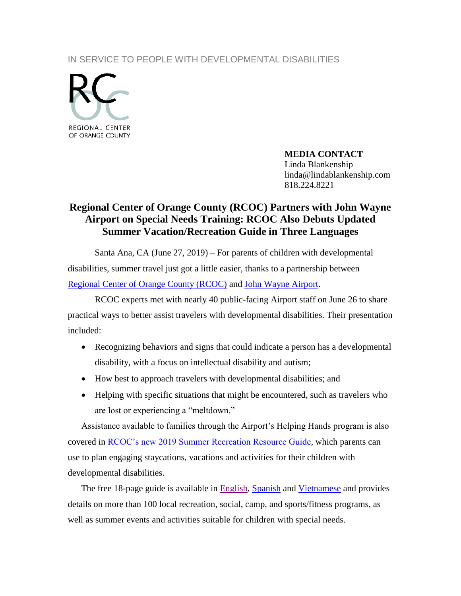IN SERVICE TO PEOPLE WITH DEVELOPMENTAL DISABILITIES



**MEDIA CONTACT** Linda Blankenship linda@lindablankenship.com 818.224.8221

## **Regional Center of Orange County (RCOC) Partners with John Wayne Airport on Special Needs Training: RCOC Also Debuts Updated Summer Vacation/Recreation Guide in Three Languages**

Santa Ana, CA (June 27, 2019) – For parents of children with developmental disabilities, summer travel just got a little easier, thanks to a partnership between [Regional Center of Orange County \(RCOC\)](http://www.rcocdd.com/) and [John Wayne Airport.](https://www.ocair.com/communityrelations/helpinghands/)

RCOC experts met with nearly 40 public-facing Airport staff on June 26 to share practical ways to better assist travelers with developmental disabilities. Their presentation included:

- Recognizing behaviors and signs that could indicate a person has a developmental disability, with a focus on intellectual disability and autism;
- How best to approach travelers with developmental disabilities; and
- Helping with specific situations that might be encountered, such as travelers who are lost or experiencing a "meltdown."

Assistance available to families through the Airport's Helping Hands program is also covered in [RCOC's new 2019 Summer Recreation Resource Guide,](http://www.rcocdd.com/wp-content/uploads/FRC/2019/2019Recreation.pdf) which parents can use to plan engaging staycations, vacations and activities for their children with developmental disabilities.

The free 18-page guide is available in [English,](http://www.rcocdd.com/wp-content/uploads/FRC/2019/2019Recreation.pdf) [Spanish](http://www.rcocdd.com/wp-content/uploads/FRC/2019/2019RecreationSP.pdf) and [Vietnamese](http://www.rcocdd.com/wp-content/uploads/FRC/2019/2019RecreationVT.pdf) and provides details on more than 100 local recreation, social, camp, and sports/fitness programs, as well as summer events and activities suitable for children with special needs.